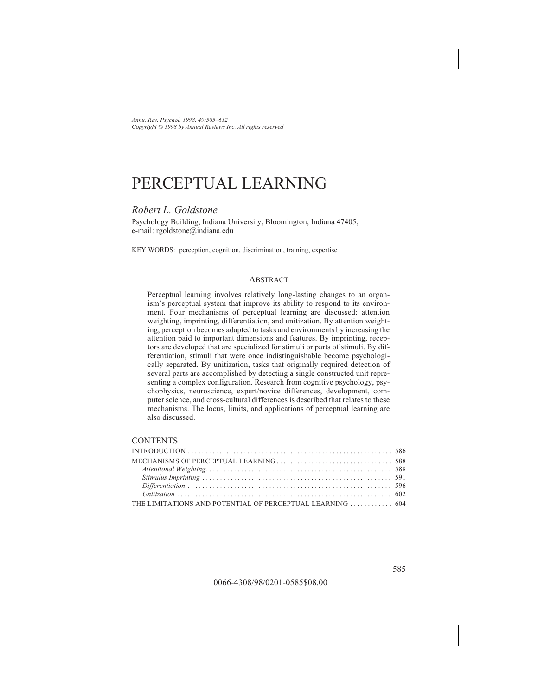# PERCEPTUAL LEARNING

## *Robert L. Goldstone*

Psychology Building, Indiana University, Bloomington, Indiana 47405; e-mail: rgoldstone@indiana.edu

KEY WORDS: perception, cognition, discrimination, training, expertise

#### **ABSTRACT**

Perceptual learning involves relatively long-lasting changes to an organism's perceptual system that improve its ability to respond to its environment. Four mechanisms of perceptual learning are discussed: attention weighting, imprinting, differentiation, and unitization. By attention weighting, perception becomes adapted to tasks and environments by increasing the attention paid to important dimensions and features. By imprinting, receptors are developed that are specialized for stimuli or parts of stimuli. By differentiation, stimuli that were once indistinguishable become psychologically separated. By unitization, tasks that originally required detection of several parts are accomplished by detecting a single constructed unit representing a complex configuration. Research from cognitive psychology, psychophysics, neuroscience, expert/novice differences, development, computer science, and cross-cultural differences is described that relates to these mechanisms. The locus, limits, and applications of perceptual learning are also discussed.

### **CONTENTS**

| THE LIMITATIONS AND POTENTIAL OF PERCEPTUAL LEARNING  604 |  |
|-----------------------------------------------------------|--|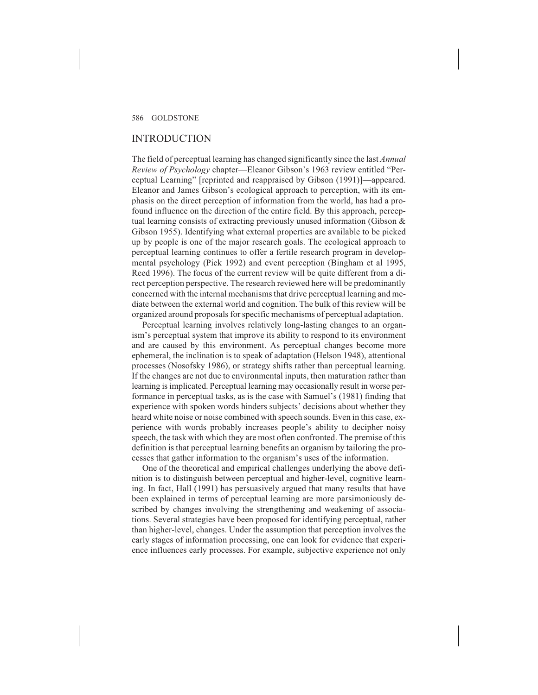### INTRODUCTION

The field of perceptual learning has changed significantly since the last *Annual Review of Psychology* chapter—Eleanor Gibson's 1963 review entitled "Perceptual Learning" [reprinted and reappraised by Gibson (1991)]—appeared. Eleanor and James Gibson's ecological approach to perception, with its emphasis on the direct perception of information from the world, has had a profound influence on the direction of the entire field. By this approach, perceptual learning consists of extracting previously unused information (Gibson & Gibson 1955). Identifying what external properties are available to be picked up by people is one of the major research goals. The ecological approach to perceptual learning continues to offer a fertile research program in developmental psychology (Pick 1992) and event perception (Bingham et al 1995, Reed 1996). The focus of the current review will be quite different from a direct perception perspective. The research reviewed here will be predominantly concerned with the internal mechanisms that drive perceptual learning and mediate between the external world and cognition. The bulk of this review will be organized around proposals for specific mechanisms of perceptual adaptation.

Perceptual learning involves relatively long-lasting changes to an organism's perceptual system that improve its ability to respond to its environment and are caused by this environment. As perceptual changes become more ephemeral, the inclination is to speak of adaptation (Helson 1948), attentional processes (Nosofsky 1986), or strategy shifts rather than perceptual learning. If the changes are not due to environmental inputs, then maturation rather than learning is implicated. Perceptual learning may occasionally result in worse performance in perceptual tasks, as is the case with Samuel's (1981) finding that experience with spoken words hinders subjects' decisions about whether they heard white noise or noise combined with speech sounds. Even in this case, experience with words probably increases people's ability to decipher noisy speech, the task with which they are most often confronted. The premise of this definition is that perceptual learning benefits an organism by tailoring the processes that gather information to the organism's uses of the information.

One of the theoretical and empirical challenges underlying the above definition is to distinguish between perceptual and higher-level, cognitive learning. In fact, Hall (1991) has persuasively argued that many results that have been explained in terms of perceptual learning are more parsimoniously described by changes involving the strengthening and weakening of associations. Several strategies have been proposed for identifying perceptual, rather than higher-level, changes. Under the assumption that perception involves the early stages of information processing, one can look for evidence that experience influences early processes. For example, subjective experience not only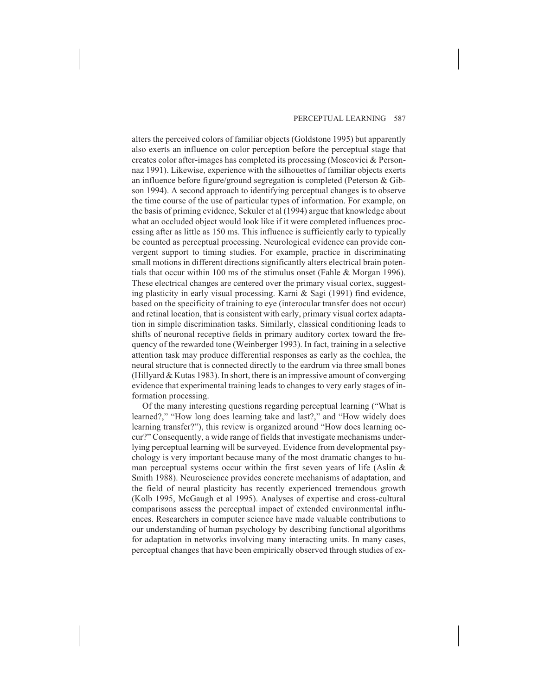alters the perceived colors of familiar objects (Goldstone 1995) but apparently also exerts an influence on color perception before the perceptual stage that creates color after-images has completed its processing (Moscovici & Personnaz 1991). Likewise, experience with the silhouettes of familiar objects exerts an influence before figure/ground segregation is completed (Peterson & Gibson 1994). A second approach to identifying perceptual changes is to observe the time course of the use of particular types of information. For example, on the basis of priming evidence, Sekuler et al (1994) argue that knowledge about what an occluded object would look like if it were completed influences processing after as little as 150 ms. This influence is sufficiently early to typically be counted as perceptual processing. Neurological evidence can provide convergent support to timing studies. For example, practice in discriminating small motions in different directions significantly alters electrical brain potentials that occur within 100 ms of the stimulus onset (Fahle & Morgan 1996). These electrical changes are centered over the primary visual cortex, suggesting plasticity in early visual processing. Karni & Sagi (1991) find evidence, based on the specificity of training to eye (interocular transfer does not occur) and retinal location, that is consistent with early, primary visual cortex adaptation in simple discrimination tasks. Similarly, classical conditioning leads to shifts of neuronal receptive fields in primary auditory cortex toward the frequency of the rewarded tone (Weinberger 1993). In fact, training in a selective attention task may produce differential responses as early as the cochlea, the neural structure that is connected directly to the eardrum via three small bones (Hillyard & Kutas 1983). In short, there is an impressive amount of converging evidence that experimental training leads to changes to very early stages of information processing.

Of the many interesting questions regarding perceptual learning ("What is learned?," "How long does learning take and last?," and "How widely does learning transfer?"), this review is organized around "How does learning occur?" Consequently, a wide range of fields that investigate mechanisms underlying perceptual learning will be surveyed. Evidence from developmental psychology is very important because many of the most dramatic changes to human perceptual systems occur within the first seven years of life (Aslin  $\&$ Smith 1988). Neuroscience provides concrete mechanisms of adaptation, and the field of neural plasticity has recently experienced tremendous growth (Kolb 1995, McGaugh et al 1995). Analyses of expertise and cross-cultural comparisons assess the perceptual impact of extended environmental influences. Researchers in computer science have made valuable contributions to our understanding of human psychology by describing functional algorithms for adaptation in networks involving many interacting units. In many cases, perceptual changes that have been empirically observed through studies of ex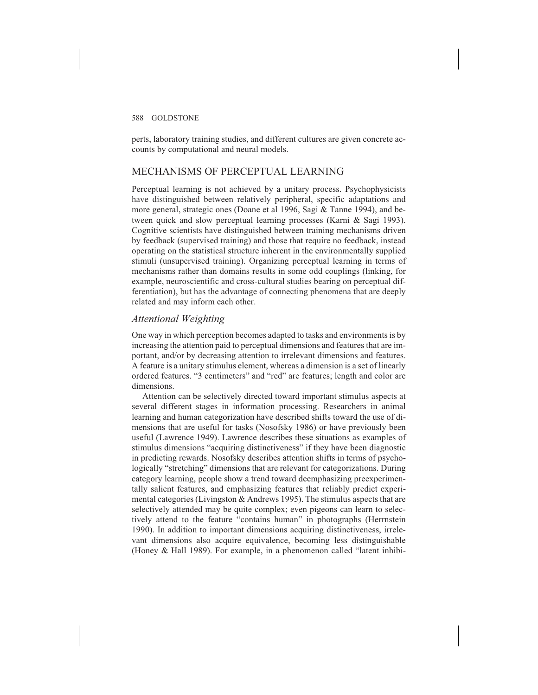perts, laboratory training studies, and different cultures are given concrete accounts by computational and neural models.

# MECHANISMS OF PERCEPTUAL LEARNING

Perceptual learning is not achieved by a unitary process. Psychophysicists have distinguished between relatively peripheral, specific adaptations and more general, strategic ones (Doane et al 1996, Sagi & Tanne 1994), and between quick and slow perceptual learning processes (Karni & Sagi 1993). Cognitive scientists have distinguished between training mechanisms driven by feedback (supervised training) and those that require no feedback, instead operating on the statistical structure inherent in the environmentally supplied stimuli (unsupervised training). Organizing perceptual learning in terms of mechanisms rather than domains results in some odd couplings (linking, for example, neuroscientific and cross-cultural studies bearing on perceptual differentiation), but has the advantage of connecting phenomena that are deeply related and may inform each other.

# *Attentional Weighting*

One way in which perception becomes adapted to tasks and environments is by increasing the attention paid to perceptual dimensions and features that are important, and/or by decreasing attention to irrelevant dimensions and features. A feature is a unitary stimulus element, whereas a dimension is a set of linearly ordered features. "3 centimeters" and "red" are features; length and color are dimensions.

Attention can be selectively directed toward important stimulus aspects at several different stages in information processing. Researchers in animal learning and human categorization have described shifts toward the use of dimensions that are useful for tasks (Nosofsky 1986) or have previously been useful (Lawrence 1949). Lawrence describes these situations as examples of stimulus dimensions "acquiring distinctiveness" if they have been diagnostic in predicting rewards. Nosofsky describes attention shifts in terms of psychologically "stretching" dimensions that are relevant for categorizations. During category learning, people show a trend toward deemphasizing preexperimentally salient features, and emphasizing features that reliably predict experimental categories (Livingston & Andrews 1995). The stimulus aspects that are selectively attended may be quite complex; even pigeons can learn to selectively attend to the feature "contains human" in photographs (Herrnstein 1990). In addition to important dimensions acquiring distinctiveness, irrelevant dimensions also acquire equivalence, becoming less distinguishable (Honey & Hall 1989). For example, in a phenomenon called "latent inhibi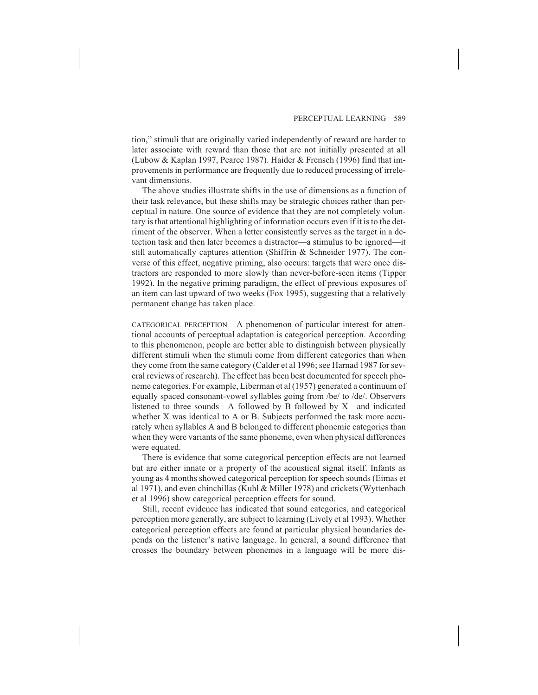tion," stimuli that are originally varied independently of reward are harder to later associate with reward than those that are not initially presented at all (Lubow & Kaplan 1997, Pearce 1987). Haider & Frensch (1996) find that improvements in performance are frequently due to reduced processing of irrelevant dimensions.

The above studies illustrate shifts in the use of dimensions as a function of their task relevance, but these shifts may be strategic choices rather than perceptual in nature. One source of evidence that they are not completely voluntary is that attentional highlighting of information occurs even if it is to the detriment of the observer. When a letter consistently serves as the target in a detection task and then later becomes a distractor—a stimulus to be ignored—it still automatically captures attention (Shiffrin & Schneider 1977). The converse of this effect, negative priming, also occurs: targets that were once distractors are responded to more slowly than never-before-seen items (Tipper 1992). In the negative priming paradigm, the effect of previous exposures of an item can last upward of two weeks (Fox 1995), suggesting that a relatively permanent change has taken place.

CATEGORICAL PERCEPTION A phenomenon of particular interest for attentional accounts of perceptual adaptation is categorical perception. According to this phenomenon, people are better able to distinguish between physically different stimuli when the stimuli come from different categories than when they come from the same category (Calder et al 1996; see Harnad 1987 for several reviews of research). The effect has been best documented for speech phoneme categories. For example, Liberman et al (1957) generated a continuum of equally spaced consonant-vowel syllables going from /be/ to /de/. Observers listened to three sounds—A followed by B followed by X—and indicated whether X was identical to A or B. Subjects performed the task more accurately when syllables A and B belonged to different phonemic categories than when they were variants of the same phoneme, even when physical differences were equated.

There is evidence that some categorical perception effects are not learned but are either innate or a property of the acoustical signal itself. Infants as young as 4 months showed categorical perception for speech sounds (Eimas et al 1971), and even chinchillas (Kuhl & Miller 1978) and crickets (Wyttenbach et al 1996) show categorical perception effects for sound.

Still, recent evidence has indicated that sound categories, and categorical perception more generally, are subject to learning (Lively et al 1993). Whether categorical perception effects are found at particular physical boundaries depends on the listener's native language. In general, a sound difference that crosses the boundary between phonemes in a language will be more dis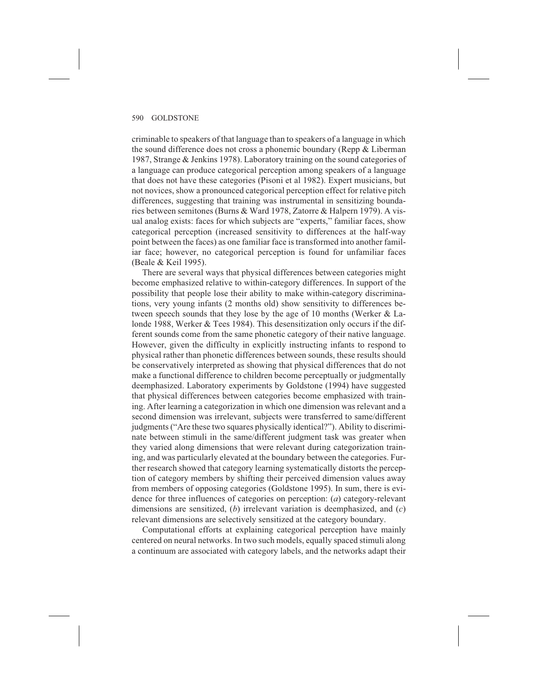criminable to speakers of that language than to speakers of a language in which the sound difference does not cross a phonemic boundary (Repp & Liberman 1987, Strange & Jenkins 1978). Laboratory training on the sound categories of a language can produce categorical perception among speakers of a language that does not have these categories (Pisoni et al 1982). Expert musicians, but not novices, show a pronounced categorical perception effect for relative pitch differences, suggesting that training was instrumental in sensitizing boundaries between semitones (Burns & Ward 1978, Zatorre & Halpern 1979). A visual analog exists: faces for which subjects are "experts," familiar faces, show categorical perception (increased sensitivity to differences at the half-way point between the faces) as one familiar face is transformed into another familiar face; however, no categorical perception is found for unfamiliar faces (Beale & Keil 1995).

There are several ways that physical differences between categories might become emphasized relative to within-category differences. In support of the possibility that people lose their ability to make within-category discriminations, very young infants (2 months old) show sensitivity to differences between speech sounds that they lose by the age of 10 months (Werker & Lalonde 1988, Werker & Tees 1984). This desensitization only occurs if the different sounds come from the same phonetic category of their native language. However, given the difficulty in explicitly instructing infants to respond to physical rather than phonetic differences between sounds, these results should be conservatively interpreted as showing that physical differences that do not make a functional difference to children become perceptually or judgmentally deemphasized. Laboratory experiments by Goldstone (1994) have suggested that physical differences between categories become emphasized with training. After learning a categorization in which one dimension was relevant and a second dimension was irrelevant, subjects were transferred to same/different judgments ("Are these two squares physically identical?"). Ability to discriminate between stimuli in the same/different judgment task was greater when they varied along dimensions that were relevant during categorization training, and was particularly elevated at the boundary between the categories. Further research showed that category learning systematically distorts the perception of category members by shifting their perceived dimension values away from members of opposing categories (Goldstone 1995). In sum, there is evidence for three influences of categories on perception: (*a*) category-relevant dimensions are sensitized, (*b*) irrelevant variation is deemphasized, and (*c*) relevant dimensions are selectively sensitized at the category boundary.

Computational efforts at explaining categorical perception have mainly centered on neural networks. In two such models, equally spaced stimuli along a continuum are associated with category labels, and the networks adapt their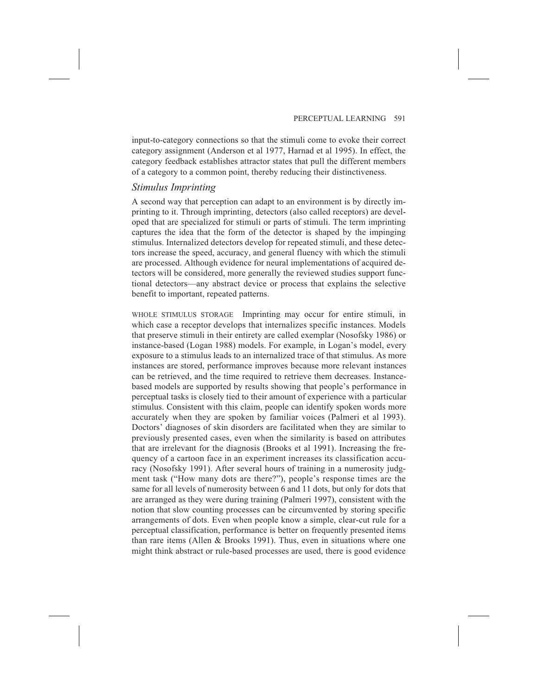input-to-category connections so that the stimuli come to evoke their correct category assignment (Anderson et al 1977, Harnad et al 1995). In effect, the category feedback establishes attractor states that pull the different members of a category to a common point, thereby reducing their distinctiveness.

# *Stimulus Imprinting*

A second way that perception can adapt to an environment is by directly imprinting to it. Through imprinting, detectors (also called receptors) are developed that are specialized for stimuli or parts of stimuli. The term imprinting captures the idea that the form of the detector is shaped by the impinging stimulus. Internalized detectors develop for repeated stimuli, and these detectors increase the speed, accuracy, and general fluency with which the stimuli are processed. Although evidence for neural implementations of acquired detectors will be considered, more generally the reviewed studies support functional detectors—any abstract device or process that explains the selective benefit to important, repeated patterns.

WHOLE STIMULUS STORAGE Imprinting may occur for entire stimuli, in which case a receptor develops that internalizes specific instances. Models that preserve stimuli in their entirety are called exemplar (Nosofsky 1986) or instance-based (Logan 1988) models. For example, in Logan's model, every exposure to a stimulus leads to an internalized trace of that stimulus. As more instances are stored, performance improves because more relevant instances can be retrieved, and the time required to retrieve them decreases. Instancebased models are supported by results showing that people's performance in perceptual tasks is closely tied to their amount of experience with a particular stimulus. Consistent with this claim, people can identify spoken words more accurately when they are spoken by familiar voices (Palmeri et al 1993). Doctors' diagnoses of skin disorders are facilitated when they are similar to previously presented cases, even when the similarity is based on attributes that are irrelevant for the diagnosis (Brooks et al 1991). Increasing the frequency of a cartoon face in an experiment increases its classification accuracy (Nosofsky 1991). After several hours of training in a numerosity judgment task ("How many dots are there?"), people's response times are the same for all levels of numerosity between 6 and 11 dots, but only for dots that are arranged as they were during training (Palmeri 1997), consistent with the notion that slow counting processes can be circumvented by storing specific arrangements of dots. Even when people know a simple, clear-cut rule for a perceptual classification, performance is better on frequently presented items than rare items (Allen & Brooks 1991). Thus, even in situations where one might think abstract or rule-based processes are used, there is good evidence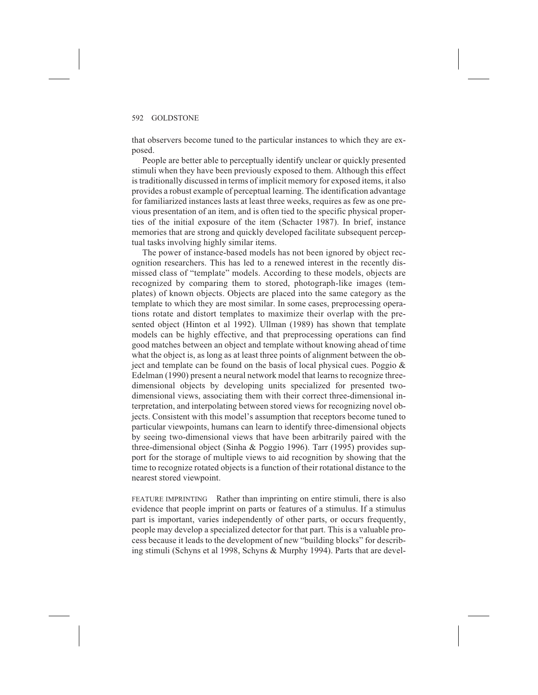that observers become tuned to the particular instances to which they are exposed.

People are better able to perceptually identify unclear or quickly presented stimuli when they have been previously exposed to them. Although this effect is traditionally discussed in terms of implicit memory for exposed items, it also provides a robust example of perceptual learning. The identification advantage for familiarized instances lasts at least three weeks, requires as few as one previous presentation of an item, and is often tied to the specific physical properties of the initial exposure of the item (Schacter 1987). In brief, instance memories that are strong and quickly developed facilitate subsequent perceptual tasks involving highly similar items.

The power of instance-based models has not been ignored by object recognition researchers. This has led to a renewed interest in the recently dismissed class of "template" models. According to these models, objects are recognized by comparing them to stored, photograph-like images (templates) of known objects. Objects are placed into the same category as the template to which they are most similar. In some cases, preprocessing operations rotate and distort templates to maximize their overlap with the presented object (Hinton et al 1992). Ullman (1989) has shown that template models can be highly effective, and that preprocessing operations can find good matches between an object and template without knowing ahead of time what the object is, as long as at least three points of alignment between the object and template can be found on the basis of local physical cues. Poggio  $\&$ Edelman (1990) present a neural network model that learns to recognize threedimensional objects by developing units specialized for presented twodimensional views, associating them with their correct three-dimensional interpretation, and interpolating between stored views for recognizing novel objects. Consistent with this model's assumption that receptors become tuned to particular viewpoints, humans can learn to identify three-dimensional objects by seeing two-dimensional views that have been arbitrarily paired with the three-dimensional object (Sinha & Poggio 1996). Tarr (1995) provides support for the storage of multiple views to aid recognition by showing that the time to recognize rotated objects is a function of their rotational distance to the nearest stored viewpoint.

FEATURE IMPRINTING Rather than imprinting on entire stimuli, there is also evidence that people imprint on parts or features of a stimulus. If a stimulus part is important, varies independently of other parts, or occurs frequently, people may develop a specialized detector for that part. This is a valuable process because it leads to the development of new "building blocks" for describing stimuli (Schyns et al 1998, Schyns & Murphy 1994). Parts that are devel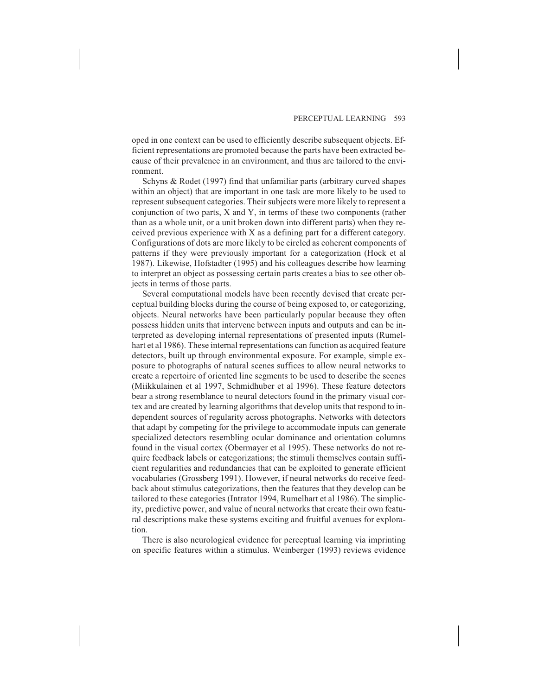oped in one context can be used to efficiently describe subsequent objects. Efficient representations are promoted because the parts have been extracted because of their prevalence in an environment, and thus are tailored to the environment.

Schyns & Rodet (1997) find that unfamiliar parts (arbitrary curved shapes within an object) that are important in one task are more likely to be used to represent subsequent categories. Their subjects were more likely to represent a conjunction of two parts, X and Y, in terms of these two components (rather than as a whole unit, or a unit broken down into different parts) when they received previous experience with X as a defining part for a different category. Configurations of dots are more likely to be circled as coherent components of patterns if they were previously important for a categorization (Hock et al 1987). Likewise, Hofstadter (1995) and his colleagues describe how learning to interpret an object as possessing certain parts creates a bias to see other objects in terms of those parts.

Several computational models have been recently devised that create perceptual building blocks during the course of being exposed to, or categorizing, objects. Neural networks have been particularly popular because they often possess hidden units that intervene between inputs and outputs and can be interpreted as developing internal representations of presented inputs (Rumelhart et al 1986). These internal representations can function as acquired feature detectors, built up through environmental exposure. For example, simple exposure to photographs of natural scenes suffices to allow neural networks to create a repertoire of oriented line segments to be used to describe the scenes (Miikkulainen et al 1997, Schmidhuber et al 1996). These feature detectors bear a strong resemblance to neural detectors found in the primary visual cortex and are created by learning algorithms that develop units that respond to independent sources of regularity across photographs. Networks with detectors that adapt by competing for the privilege to accommodate inputs can generate specialized detectors resembling ocular dominance and orientation columns found in the visual cortex (Obermayer et al 1995). These networks do not require feedback labels or categorizations; the stimuli themselves contain sufficient regularities and redundancies that can be exploited to generate efficient vocabularies (Grossberg 1991). However, if neural networks do receive feedback about stimulus categorizations, then the features that they develop can be tailored to these categories (Intrator 1994, Rumelhart et al 1986). The simplicity, predictive power, and value of neural networks that create their own featural descriptions make these systems exciting and fruitful avenues for exploration.

There is also neurological evidence for perceptual learning via imprinting on specific features within a stimulus. Weinberger (1993) reviews evidence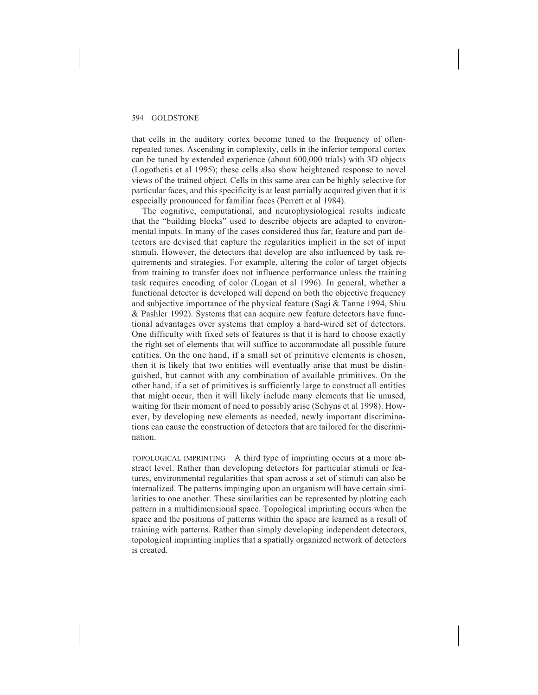that cells in the auditory cortex become tuned to the frequency of oftenrepeated tones. Ascending in complexity, cells in the inferior temporal cortex can be tuned by extended experience (about 600,000 trials) with 3D objects (Logothetis et al 1995); these cells also show heightened response to novel views of the trained object. Cells in this same area can be highly selective for particular faces, and this specificity is at least partially acquired given that it is especially pronounced for familiar faces (Perrett et al 1984).

The cognitive, computational, and neurophysiological results indicate that the "building blocks" used to describe objects are adapted to environmental inputs. In many of the cases considered thus far, feature and part detectors are devised that capture the regularities implicit in the set of input stimuli. However, the detectors that develop are also influenced by task requirements and strategies. For example, altering the color of target objects from training to transfer does not influence performance unless the training task requires encoding of color (Logan et al 1996). In general, whether a functional detector is developed will depend on both the objective frequency and subjective importance of the physical feature (Sagi & Tanne 1994, Shiu & Pashler 1992). Systems that can acquire new feature detectors have functional advantages over systems that employ a hard-wired set of detectors. One difficulty with fixed sets of features is that it is hard to choose exactly the right set of elements that will suffice to accommodate all possible future entities. On the one hand, if a small set of primitive elements is chosen, then it is likely that two entities will eventually arise that must be distinguished, but cannot with any combination of available primitives. On the other hand, if a set of primitives is sufficiently large to construct all entities that might occur, then it will likely include many elements that lie unused, waiting for their moment of need to possibly arise (Schyns et al 1998). However, by developing new elements as needed, newly important discriminations can cause the construction of detectors that are tailored for the discrimination.

TOPOLOGICAL IMPRINTING A third type of imprinting occurs at a more abstract level. Rather than developing detectors for particular stimuli or features, environmental regularities that span across a set of stimuli can also be internalized. The patterns impinging upon an organism will have certain similarities to one another. These similarities can be represented by plotting each pattern in a multidimensional space. Topological imprinting occurs when the space and the positions of patterns within the space are learned as a result of training with patterns. Rather than simply developing independent detectors, topological imprinting implies that a spatially organized network of detectors is created.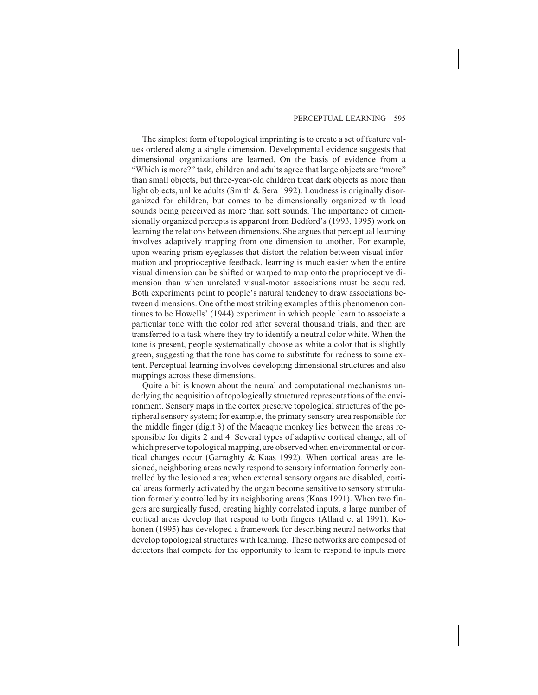The simplest form of topological imprinting is to create a set of feature values ordered along a single dimension. Developmental evidence suggests that dimensional organizations are learned. On the basis of evidence from a "Which is more?" task, children and adults agree that large objects are "more" than small objects, but three-year-old children treat dark objects as more than light objects, unlike adults (Smith & Sera 1992). Loudness is originally disorganized for children, but comes to be dimensionally organized with loud sounds being perceived as more than soft sounds. The importance of dimensionally organized percepts is apparent from Bedford's (1993, 1995) work on learning the relations between dimensions. She argues that perceptual learning involves adaptively mapping from one dimension to another. For example, upon wearing prism eyeglasses that distort the relation between visual information and proprioceptive feedback, learning is much easier when the entire visual dimension can be shifted or warped to map onto the proprioceptive dimension than when unrelated visual-motor associations must be acquired. Both experiments point to people's natural tendency to draw associations between dimensions. One of the most striking examples of this phenomenon continues to be Howells' (1944) experiment in which people learn to associate a particular tone with the color red after several thousand trials, and then are transferred to a task where they try to identify a neutral color white. When the tone is present, people systematically choose as white a color that is slightly green, suggesting that the tone has come to substitute for redness to some extent. Perceptual learning involves developing dimensional structures and also mappings across these dimensions.

Quite a bit is known about the neural and computational mechanisms underlying the acquisition of topologically structured representations of the environment. Sensory maps in the cortex preserve topological structures of the peripheral sensory system; for example, the primary sensory area responsible for the middle finger (digit 3) of the Macaque monkey lies between the areas responsible for digits 2 and 4. Several types of adaptive cortical change, all of which preserve topological mapping, are observed when environmental or cortical changes occur (Garraghty & Kaas 1992). When cortical areas are lesioned, neighboring areas newly respond to sensory information formerly controlled by the lesioned area; when external sensory organs are disabled, cortical areas formerly activated by the organ become sensitive to sensory stimulation formerly controlled by its neighboring areas (Kaas 1991). When two fingers are surgically fused, creating highly correlated inputs, a large number of cortical areas develop that respond to both fingers (Allard et al 1991). Kohonen (1995) has developed a framework for describing neural networks that develop topological structures with learning. These networks are composed of detectors that compete for the opportunity to learn to respond to inputs more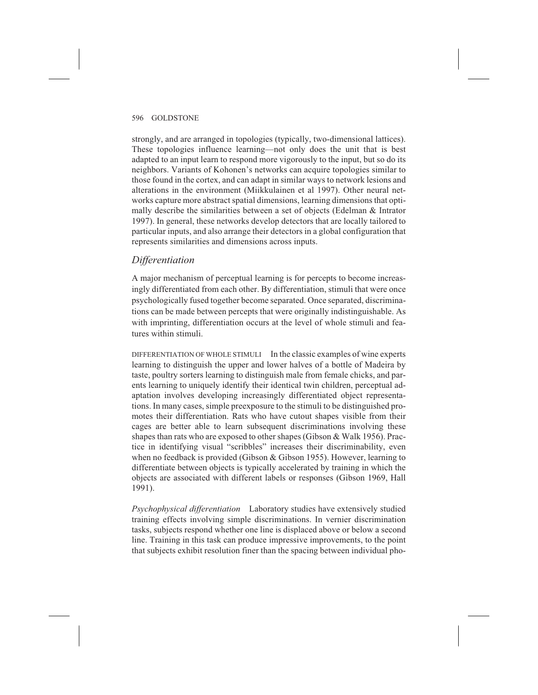strongly, and are arranged in topologies (typically, two-dimensional lattices). These topologies influence learning—not only does the unit that is best adapted to an input learn to respond more vigorously to the input, but so do its neighbors. Variants of Kohonen's networks can acquire topologies similar to those found in the cortex, and can adapt in similar ways to network lesions and alterations in the environment (Miikkulainen et al 1997). Other neural networks capture more abstract spatial dimensions, learning dimensions that optimally describe the similarities between a set of objects (Edelman & Intrator 1997). In general, these networks develop detectors that are locally tailored to particular inputs, and also arrange their detectors in a global configuration that represents similarities and dimensions across inputs.

# *Differentiation*

A major mechanism of perceptual learning is for percepts to become increasingly differentiated from each other. By differentiation, stimuli that were once psychologically fused together become separated. Once separated, discriminations can be made between percepts that were originally indistinguishable. As with imprinting, differentiation occurs at the level of whole stimuli and features within stimuli.

DIFFERENTIATION OF WHOLE STIMULI In the classic examples of wine experts learning to distinguish the upper and lower halves of a bottle of Madeira by taste, poultry sorters learning to distinguish male from female chicks, and parents learning to uniquely identify their identical twin children, perceptual adaptation involves developing increasingly differentiated object representations. In many cases, simple preexposure to the stimuli to be distinguished promotes their differentiation. Rats who have cutout shapes visible from their cages are better able to learn subsequent discriminations involving these shapes than rats who are exposed to other shapes (Gibson & Walk 1956). Practice in identifying visual "scribbles" increases their discriminability, even when no feedback is provided (Gibson & Gibson 1955). However, learning to differentiate between objects is typically accelerated by training in which the objects are associated with different labels or responses (Gibson 1969, Hall 1991).

*Psychophysical differentiation* Laboratory studies have extensively studied training effects involving simple discriminations. In vernier discrimination tasks, subjects respond whether one line is displaced above or below a second line. Training in this task can produce impressive improvements, to the point that subjects exhibit resolution finer than the spacing between individual pho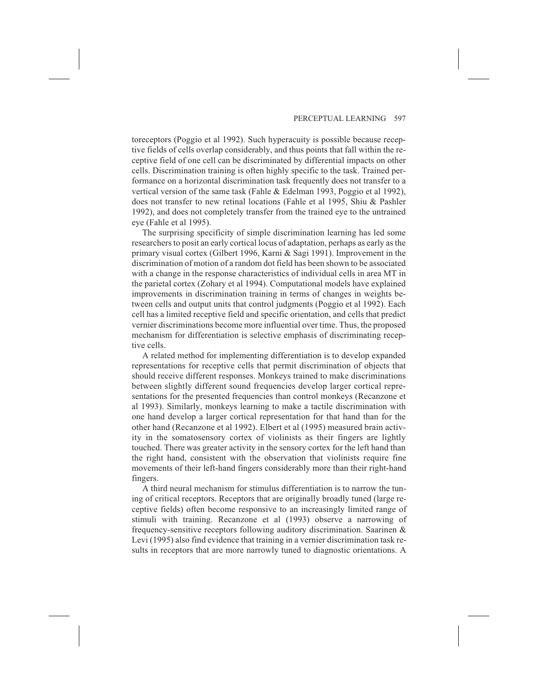toreceptors (Poggio et al 1992). Such hyperacuity is possible because receptive fields of cells overlap considerably, and thus points that fall within the receptive field of one cell can be discriminated by differential impacts on other cells. Discrimination training is often highly specific to the task. Trained performance on a horizontal discrimination task frequently does not transfer to a vertical version of the same task (Fahle & Edelman 1993, Poggio et al 1992), does not transfer to new retinal locations (Fahle et al 1995, Shiu & Pashler 1992), and does not completely transfer from the trained eye to the untrained eye (Fahle et al 1995).

The surprising specificity of simple discrimination learning has led some researchers to posit an early cortical locus of adaptation, perhaps as early as the primary visual cortex (Gilbert 1996, Karni & Sagi 1991). Improvement in the discrimination of motion of a random dot field has been shown to be associated with a change in the response characteristics of individual cells in area MT in the parietal cortex (Zohary et al 1994). Computational models have explained improvements in discrimination training in terms of changes in weights between cells and output units that control judgments (Poggio et al 1992). Each cell has a limited receptive field and specific orientation, and cells that predict vernier discriminations become more influential over time. Thus, the proposed mechanism for differentiation is selective emphasis of discriminating receptive cells.

A related method for implementing differentiation is to develop expanded representations for receptive cells that permit discrimination of objects that should receive different responses. Monkeys trained to make discriminations between slightly different sound frequencies develop larger cortical representations for the presented frequencies than control monkeys (Recanzone et al 1993). Similarly, monkeys learning to make a tactile discrimination with one hand develop a larger cortical representation for that hand than for the other hand (Recanzone et al 1992). Elbert et al (1995) measured brain activity in the somatosensory cortex of violinists as their fingers are lightly touched. There was greater activity in the sensory cortex for the left hand than the right hand, consistent with the observation that violinists require fine movements of their left-hand fingers considerably more than their right-hand fingers.

A third neural mechanism for stimulus differentiation is to narrow the tuning of critical receptors. Receptors that are originally broadly tuned (large receptive fields) often become responsive to an increasingly limited range of stimuli with training. Recanzone et al (1993) observe a narrowing of frequency-sensitive receptors following auditory discrimination. Saarinen & Levi (1995) also find evidence that training in a vernier discrimination task results in receptors that are more narrowly tuned to diagnostic orientations. A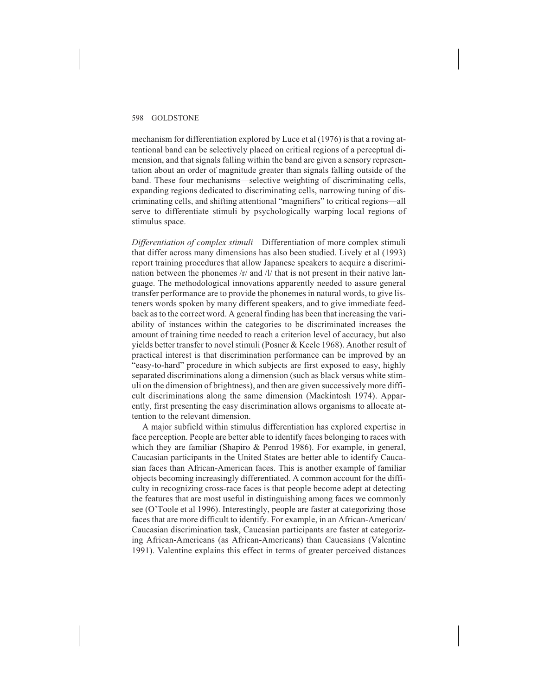mechanism for differentiation explored by Luce et al (1976) is that a roving attentional band can be selectively placed on critical regions of a perceptual dimension, and that signals falling within the band are given a sensory representation about an order of magnitude greater than signals falling outside of the band. These four mechanisms—selective weighting of discriminating cells, expanding regions dedicated to discriminating cells, narrowing tuning of discriminating cells, and shifting attentional "magnifiers" to critical regions—all serve to differentiate stimuli by psychologically warping local regions of stimulus space.

*Differentiation of complex stimuli* Differentiation of more complex stimuli that differ across many dimensions has also been studied. Lively et al (1993) report training procedures that allow Japanese speakers to acquire a discrimination between the phonemes /r/ and /l/ that is not present in their native language. The methodological innovations apparently needed to assure general transfer performance are to provide the phonemes in natural words, to give listeners words spoken by many different speakers, and to give immediate feedback as to the correct word. A general finding has been that increasing the variability of instances within the categories to be discriminated increases the amount of training time needed to reach a criterion level of accuracy, but also yields better transfer to novel stimuli (Posner & Keele 1968). Another result of practical interest is that discrimination performance can be improved by an "easy-to-hard" procedure in which subjects are first exposed to easy, highly separated discriminations along a dimension (such as black versus white stimuli on the dimension of brightness), and then are given successively more difficult discriminations along the same dimension (Mackintosh 1974). Apparently, first presenting the easy discrimination allows organisms to allocate attention to the relevant dimension.

A major subfield within stimulus differentiation has explored expertise in face perception. People are better able to identify faces belonging to races with which they are familiar (Shapiro & Penrod 1986). For example, in general, Caucasian participants in the United States are better able to identify Caucasian faces than African-American faces. This is another example of familiar objects becoming increasingly differentiated. A common account for the difficulty in recognizing cross-race faces is that people become adept at detecting the features that are most useful in distinguishing among faces we commonly see (O'Toole et al 1996). Interestingly, people are faster at categorizing those faces that are more difficult to identify. For example, in an African-American/ Caucasian discrimination task, Caucasian participants are faster at categorizing African-Americans (as African-Americans) than Caucasians (Valentine 1991). Valentine explains this effect in terms of greater perceived distances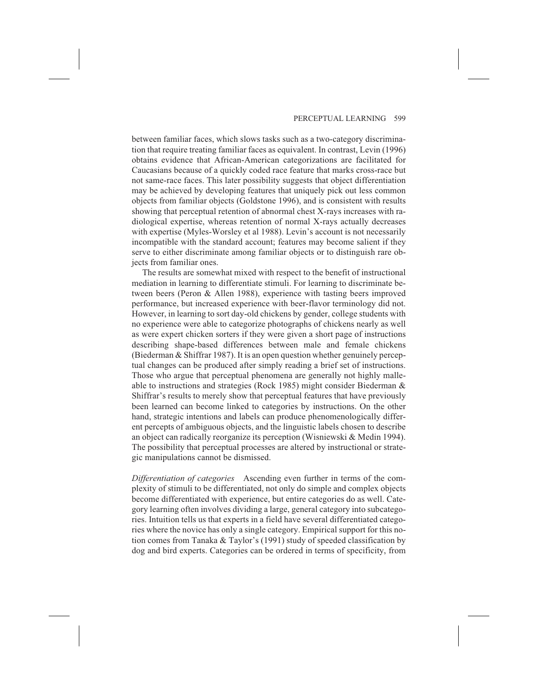between familiar faces, which slows tasks such as a two-category discrimination that require treating familiar faces as equivalent. In contrast, Levin (1996) obtains evidence that African-American categorizations are facilitated for Caucasians because of a quickly coded race feature that marks cross-race but not same-race faces. This later possibility suggests that object differentiation may be achieved by developing features that uniquely pick out less common objects from familiar objects (Goldstone 1996), and is consistent with results showing that perceptual retention of abnormal chest X-rays increases with radiological expertise, whereas retention of normal X-rays actually decreases with expertise (Myles-Worsley et al 1988). Levin's account is not necessarily incompatible with the standard account; features may become salient if they serve to either discriminate among familiar objects or to distinguish rare objects from familiar ones.

The results are somewhat mixed with respect to the benefit of instructional mediation in learning to differentiate stimuli. For learning to discriminate between beers (Peron & Allen 1988), experience with tasting beers improved performance, but increased experience with beer-flavor terminology did not. However, in learning to sort day-old chickens by gender, college students with no experience were able to categorize photographs of chickens nearly as well as were expert chicken sorters if they were given a short page of instructions describing shape-based differences between male and female chickens (Biederman & Shiffrar 1987). It is an open question whether genuinely perceptual changes can be produced after simply reading a brief set of instructions. Those who argue that perceptual phenomena are generally not highly malleable to instructions and strategies (Rock 1985) might consider Biederman & Shiffrar's results to merely show that perceptual features that have previously been learned can become linked to categories by instructions. On the other hand, strategic intentions and labels can produce phenomenologically different percepts of ambiguous objects, and the linguistic labels chosen to describe an object can radically reorganize its perception (Wisniewski & Medin 1994). The possibility that perceptual processes are altered by instructional or strategic manipulations cannot be dismissed.

*Differentiation of categories* Ascending even further in terms of the complexity of stimuli to be differentiated, not only do simple and complex objects become differentiated with experience, but entire categories do as well. Category learning often involves dividing a large, general category into subcategories. Intuition tells us that experts in a field have several differentiated categories where the novice has only a single category. Empirical support for this notion comes from Tanaka & Taylor's (1991) study of speeded classification by dog and bird experts. Categories can be ordered in terms of specificity, from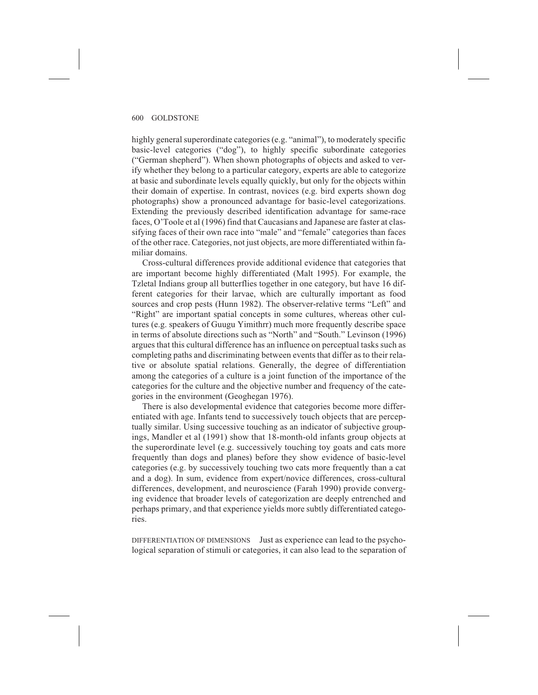highly general superordinate categories (e.g. "animal"), to moderately specific basic-level categories ("dog"), to highly specific subordinate categories ("German shepherd"). When shown photographs of objects and asked to verify whether they belong to a particular category, experts are able to categorize at basic and subordinate levels equally quickly, but only for the objects within their domain of expertise. In contrast, novices (e.g. bird experts shown dog photographs) show a pronounced advantage for basic-level categorizations. Extending the previously described identification advantage for same-race faces, O'Toole et al (1996) find that Caucasians and Japanese are faster at classifying faces of their own race into "male" and "female" categories than faces of the other race. Categories, not just objects, are more differentiated within familiar domains.

Cross-cultural differences provide additional evidence that categories that are important become highly differentiated (Malt 1995). For example, the Tzletal Indians group all butterflies together in one category, but have 16 different categories for their larvae, which are culturally important as food sources and crop pests (Hunn 1982). The observer-relative terms "Left" and "Right" are important spatial concepts in some cultures, whereas other cultures (e.g. speakers of Guugu Yimithrr) much more frequently describe space in terms of absolute directions such as "North" and "South." Levinson (1996) argues that this cultural difference has an influence on perceptual tasks such as completing paths and discriminating between events that differ as to their relative or absolute spatial relations. Generally, the degree of differentiation among the categories of a culture is a joint function of the importance of the categories for the culture and the objective number and frequency of the categories in the environment (Geoghegan 1976).

There is also developmental evidence that categories become more differentiated with age. Infants tend to successively touch objects that are perceptually similar. Using successive touching as an indicator of subjective groupings, Mandler et al (1991) show that 18-month-old infants group objects at the superordinate level (e.g. successively touching toy goats and cats more frequently than dogs and planes) before they show evidence of basic-level categories (e.g. by successively touching two cats more frequently than a cat and a dog). In sum, evidence from expert/novice differences, cross-cultural differences, development, and neuroscience (Farah 1990) provide converging evidence that broader levels of categorization are deeply entrenched and perhaps primary, and that experience yields more subtly differentiated categories.

DIFFERENTIATION OF DIMENSIONS Just as experience can lead to the psychological separation of stimuli or categories, it can also lead to the separation of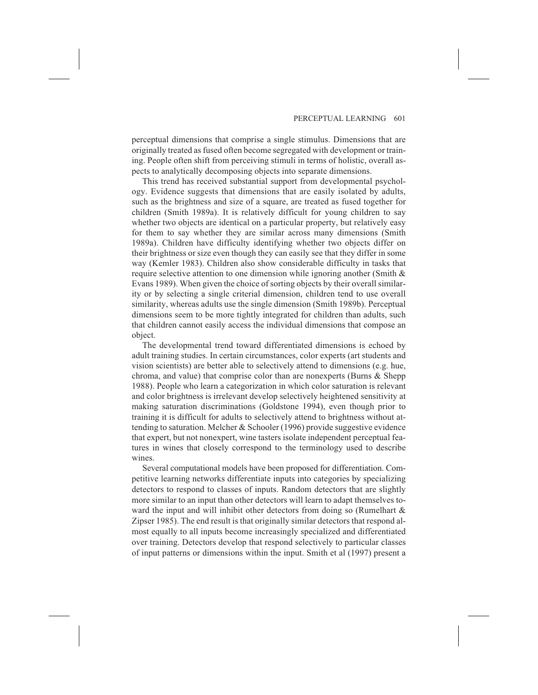perceptual dimensions that comprise a single stimulus. Dimensions that are originally treated as fused often become segregated with development or training. People often shift from perceiving stimuli in terms of holistic, overall aspects to analytically decomposing objects into separate dimensions.

This trend has received substantial support from developmental psychology. Evidence suggests that dimensions that are easily isolated by adults, such as the brightness and size of a square, are treated as fused together for children (Smith 1989a). It is relatively difficult for young children to say whether two objects are identical on a particular property, but relatively easy for them to say whether they are similar across many dimensions (Smith 1989a). Children have difficulty identifying whether two objects differ on their brightness or size even though they can easily see that they differ in some way (Kemler 1983). Children also show considerable difficulty in tasks that require selective attention to one dimension while ignoring another (Smith & Evans 1989). When given the choice of sorting objects by their overall similarity or by selecting a single criterial dimension, children tend to use overall similarity, whereas adults use the single dimension (Smith 1989b). Perceptual dimensions seem to be more tightly integrated for children than adults, such that children cannot easily access the individual dimensions that compose an object.

The developmental trend toward differentiated dimensions is echoed by adult training studies. In certain circumstances, color experts (art students and vision scientists) are better able to selectively attend to dimensions (e.g. hue, chroma, and value) that comprise color than are nonexperts (Burns & Shepp 1988). People who learn a categorization in which color saturation is relevant and color brightness is irrelevant develop selectively heightened sensitivity at making saturation discriminations (Goldstone 1994), even though prior to training it is difficult for adults to selectively attend to brightness without attending to saturation. Melcher & Schooler (1996) provide suggestive evidence that expert, but not nonexpert, wine tasters isolate independent perceptual features in wines that closely correspond to the terminology used to describe wines.

Several computational models have been proposed for differentiation. Competitive learning networks differentiate inputs into categories by specializing detectors to respond to classes of inputs. Random detectors that are slightly more similar to an input than other detectors will learn to adapt themselves toward the input and will inhibit other detectors from doing so (Rumelhart & Zipser 1985). The end result is that originally similar detectors that respond almost equally to all inputs become increasingly specialized and differentiated over training. Detectors develop that respond selectively to particular classes of input patterns or dimensions within the input. Smith et al (1997) present a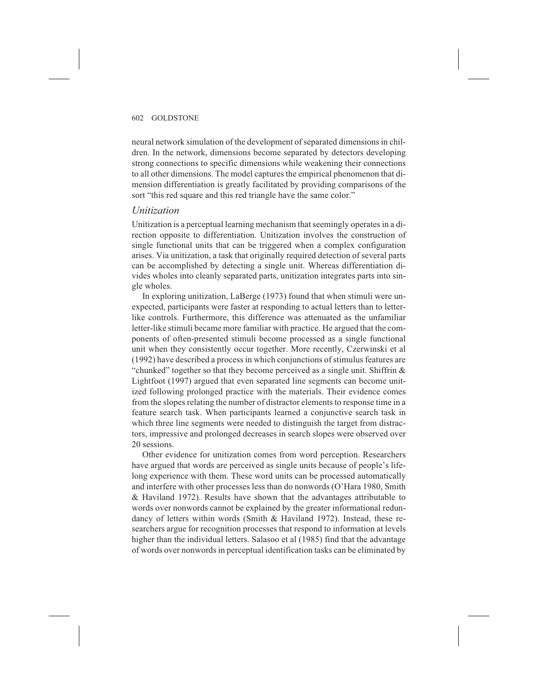neural network simulation of the development of separated dimensions in children. In the network, dimensions become separated by detectors developing strong connections to specific dimensions while weakening their connections to all other dimensions. The model captures the empirical phenomenon that dimension differentiation is greatly facilitated by providing comparisons of the sort "this red square and this red triangle have the same color."

### *Unitization*

Unitization is a perceptual learning mechanism that seemingly operates in a direction opposite to differentiation. Unitization involves the construction of single functional units that can be triggered when a complex configuration arises. Via unitization, a task that originally required detection of several parts can be accomplished by detecting a single unit. Whereas differentiation divides wholes into cleanly separated parts, unitization integrates parts into single wholes.

In exploring unitization, LaBerge (1973) found that when stimuli were unexpected, participants were faster at responding to actual letters than to letterlike controls. Furthermore, this difference was attenuated as the unfamiliar letter-like stimuli became more familiar with practice. He argued that the components of often-presented stimuli become processed as a single functional unit when they consistently occur together. More recently, Czerwinski et al (1992) have described a process in which conjunctions of stimulus features are "chunked" together so that they become perceived as a single unit. Shiffrin & Lightfoot (1997) argued that even separated line segments can become unitized following prolonged practice with the materials. Their evidence comes from the slopes relating the number of distractor elements to response time in a feature search task. When participants learned a conjunctive search task in which three line segments were needed to distinguish the target from distractors, impressive and prolonged decreases in search slopes were observed over 20 sessions.

Other evidence for unitization comes from word perception. Researchers have argued that words are perceived as single units because of people's lifelong experience with them. These word units can be processed automatically and interfere with other processes less than do nonwords (O'Hara 1980, Smith & Haviland 1972). Results have shown that the advantages attributable to words over nonwords cannot be explained by the greater informational redundancy of letters within words (Smith & Haviland 1972). Instead, these researchers argue for recognition processes that respond to information at levels higher than the individual letters. Salasoo et al (1985) find that the advantage of words over nonwords in perceptual identification tasks can be eliminated by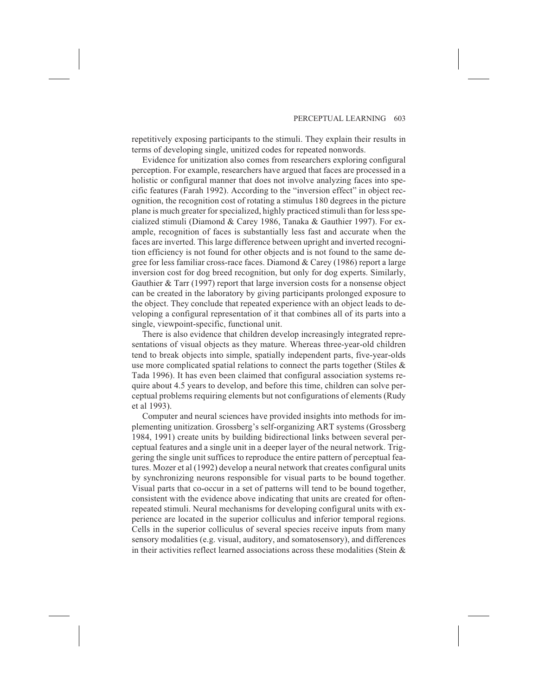repetitively exposing participants to the stimuli. They explain their results in terms of developing single, unitized codes for repeated nonwords.

Evidence for unitization also comes from researchers exploring configural perception. For example, researchers have argued that faces are processed in a holistic or configural manner that does not involve analyzing faces into specific features (Farah 1992). According to the "inversion effect" in object recognition, the recognition cost of rotating a stimulus 180 degrees in the picture plane is much greater for specialized, highly practiced stimuli than for less specialized stimuli (Diamond & Carey 1986, Tanaka & Gauthier 1997). For example, recognition of faces is substantially less fast and accurate when the faces are inverted. This large difference between upright and inverted recognition efficiency is not found for other objects and is not found to the same degree for less familiar cross-race faces. Diamond & Carey (1986) report a large inversion cost for dog breed recognition, but only for dog experts. Similarly, Gauthier & Tarr (1997) report that large inversion costs for a nonsense object can be created in the laboratory by giving participants prolonged exposure to the object. They conclude that repeated experience with an object leads to developing a configural representation of it that combines all of its parts into a single, viewpoint-specific, functional unit.

There is also evidence that children develop increasingly integrated representations of visual objects as they mature. Whereas three-year-old children tend to break objects into simple, spatially independent parts, five-year-olds use more complicated spatial relations to connect the parts together (Stiles & Tada 1996). It has even been claimed that configural association systems require about 4.5 years to develop, and before this time, children can solve perceptual problems requiring elements but not configurations of elements (Rudy et al 1993).

Computer and neural sciences have provided insights into methods for implementing unitization. Grossberg's self-organizing ART systems (Grossberg 1984, 1991) create units by building bidirectional links between several perceptual features and a single unit in a deeper layer of the neural network. Triggering the single unit suffices to reproduce the entire pattern of perceptual features. Mozer et al (1992) develop a neural network that creates configural units by synchronizing neurons responsible for visual parts to be bound together. Visual parts that co-occur in a set of patterns will tend to be bound together, consistent with the evidence above indicating that units are created for oftenrepeated stimuli. Neural mechanisms for developing configural units with experience are located in the superior colliculus and inferior temporal regions. Cells in the superior colliculus of several species receive inputs from many sensory modalities (e.g. visual, auditory, and somatosensory), and differences in their activities reflect learned associations across these modalities (Stein  $\&$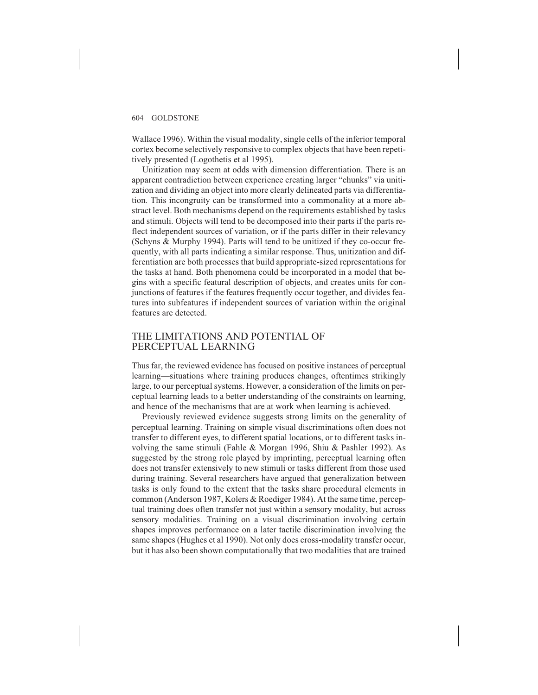Wallace 1996). Within the visual modality, single cells of the inferior temporal cortex become selectively responsive to complex objects that have been repetitively presented (Logothetis et al 1995).

Unitization may seem at odds with dimension differentiation. There is an apparent contradiction between experience creating larger "chunks" via unitization and dividing an object into more clearly delineated parts via differentiation. This incongruity can be transformed into a commonality at a more abstract level. Both mechanisms depend on the requirements established by tasks and stimuli. Objects will tend to be decomposed into their parts if the parts reflect independent sources of variation, or if the parts differ in their relevancy (Schyns & Murphy 1994). Parts will tend to be unitized if they co-occur frequently, with all parts indicating a similar response. Thus, unitization and differentiation are both processes that build appropriate-sized representations for the tasks at hand. Both phenomena could be incorporated in a model that begins with a specific featural description of objects, and creates units for conjunctions of features if the features frequently occur together, and divides features into subfeatures if independent sources of variation within the original features are detected.

# THE LIMITATIONS AND POTENTIAL OF PERCEPTUAL LEARNING

Thus far, the reviewed evidence has focused on positive instances of perceptual learning—situations where training produces changes, oftentimes strikingly large, to our perceptual systems. However, a consideration of the limits on perceptual learning leads to a better understanding of the constraints on learning, and hence of the mechanisms that are at work when learning is achieved.

Previously reviewed evidence suggests strong limits on the generality of perceptual learning. Training on simple visual discriminations often does not transfer to different eyes, to different spatial locations, or to different tasks involving the same stimuli (Fahle & Morgan 1996, Shiu & Pashler 1992). As suggested by the strong role played by imprinting, perceptual learning often does not transfer extensively to new stimuli or tasks different from those used during training. Several researchers have argued that generalization between tasks is only found to the extent that the tasks share procedural elements in common (Anderson 1987, Kolers & Roediger 1984). At the same time, perceptual training does often transfer not just within a sensory modality, but across sensory modalities. Training on a visual discrimination involving certain shapes improves performance on a later tactile discrimination involving the same shapes (Hughes et al 1990). Not only does cross-modality transfer occur, but it has also been shown computationally that two modalities that are trained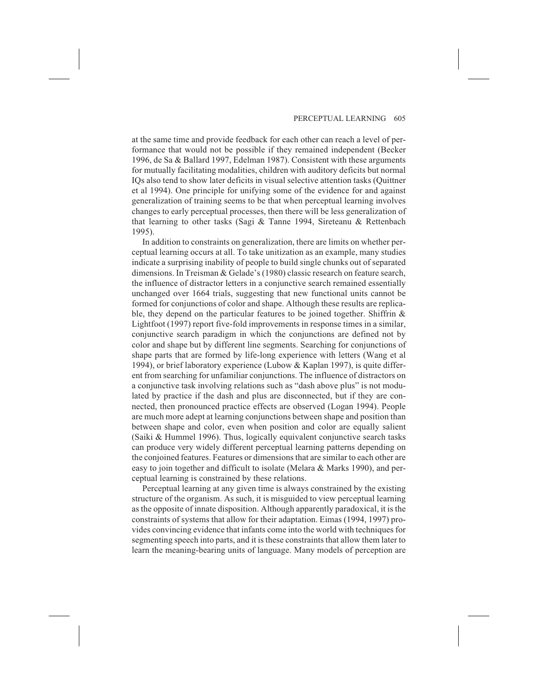at the same time and provide feedback for each other can reach a level of performance that would not be possible if they remained independent (Becker 1996, de Sa & Ballard 1997, Edelman 1987). Consistent with these arguments for mutually facilitating modalities, children with auditory deficits but normal IQs also tend to show later deficits in visual selective attention tasks (Quittner et al 1994). One principle for unifying some of the evidence for and against generalization of training seems to be that when perceptual learning involves changes to early perceptual processes, then there will be less generalization of that learning to other tasks (Sagi & Tanne 1994, Sireteanu & Rettenbach 1995).

In addition to constraints on generalization, there are limits on whether perceptual learning occurs at all. To take unitization as an example, many studies indicate a surprising inability of people to build single chunks out of separated dimensions. In Treisman & Gelade's (1980) classic research on feature search, the influence of distractor letters in a conjunctive search remained essentially unchanged over 1664 trials, suggesting that new functional units cannot be formed for conjunctions of color and shape. Although these results are replicable, they depend on the particular features to be joined together. Shiffrin  $\&$ Lightfoot (1997) report five-fold improvements in response times in a similar, conjunctive search paradigm in which the conjunctions are defined not by color and shape but by different line segments. Searching for conjunctions of shape parts that are formed by life-long experience with letters (Wang et al 1994), or brief laboratory experience (Lubow & Kaplan 1997), is quite different from searching for unfamiliar conjunctions. The influence of distractors on a conjunctive task involving relations such as "dash above plus" is not modulated by practice if the dash and plus are disconnected, but if they are connected, then pronounced practice effects are observed (Logan 1994). People are much more adept at learning conjunctions between shape and position than between shape and color, even when position and color are equally salient (Saiki & Hummel 1996). Thus, logically equivalent conjunctive search tasks can produce very widely different perceptual learning patterns depending on the conjoined features. Features or dimensions that are similar to each other are easy to join together and difficult to isolate (Melara & Marks 1990), and perceptual learning is constrained by these relations.

Perceptual learning at any given time is always constrained by the existing structure of the organism. As such, it is misguided to view perceptual learning as the opposite of innate disposition. Although apparently paradoxical, it is the constraints of systems that allow for their adaptation. Eimas (1994, 1997) provides convincing evidence that infants come into the world with techniques for segmenting speech into parts, and it is these constraints that allow them later to learn the meaning-bearing units of language. Many models of perception are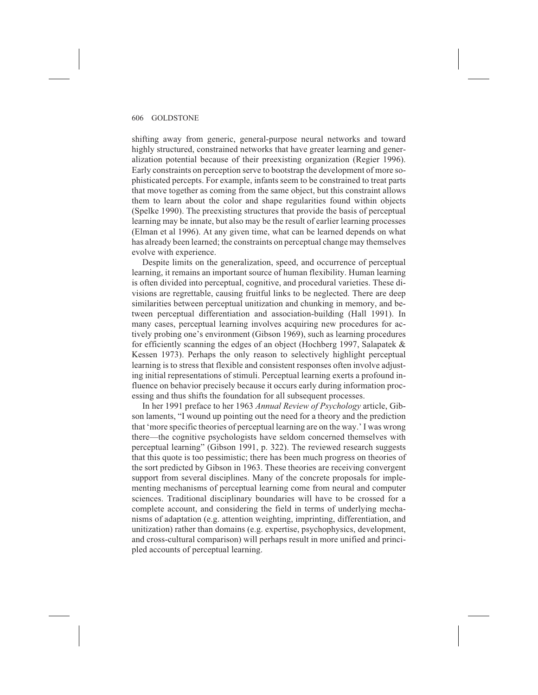shifting away from generic, general-purpose neural networks and toward highly structured, constrained networks that have greater learning and generalization potential because of their preexisting organization (Regier 1996). Early constraints on perception serve to bootstrap the development of more sophisticated percepts. For example, infants seem to be constrained to treat parts that move together as coming from the same object, but this constraint allows them to learn about the color and shape regularities found within objects (Spelke 1990). The preexisting structures that provide the basis of perceptual learning may be innate, but also may be the result of earlier learning processes (Elman et al 1996). At any given time, what can be learned depends on what has already been learned; the constraints on perceptual change may themselves evolve with experience.

Despite limits on the generalization, speed, and occurrence of perceptual learning, it remains an important source of human flexibility. Human learning is often divided into perceptual, cognitive, and procedural varieties. These divisions are regrettable, causing fruitful links to be neglected. There are deep similarities between perceptual unitization and chunking in memory, and between perceptual differentiation and association-building (Hall 1991). In many cases, perceptual learning involves acquiring new procedures for actively probing one's environment (Gibson 1969), such as learning procedures for efficiently scanning the edges of an object (Hochberg 1997, Salapatek & Kessen 1973). Perhaps the only reason to selectively highlight perceptual learning is to stress that flexible and consistent responses often involve adjusting initial representations of stimuli. Perceptual learning exerts a profound influence on behavior precisely because it occurs early during information processing and thus shifts the foundation for all subsequent processes.

In her 1991 preface to her 1963 *Annual Review of Psychology* article, Gibson laments, "I wound up pointing out the need for a theory and the prediction that 'more specific theories of perceptual learning are on the way.' I was wrong there—the cognitive psychologists have seldom concerned themselves with perceptual learning" (Gibson 1991, p. 322). The reviewed research suggests that this quote is too pessimistic; there has been much progress on theories of the sort predicted by Gibson in 1963. These theories are receiving convergent support from several disciplines. Many of the concrete proposals for implementing mechanisms of perceptual learning come from neural and computer sciences. Traditional disciplinary boundaries will have to be crossed for a complete account, and considering the field in terms of underlying mechanisms of adaptation (e.g. attention weighting, imprinting, differentiation, and unitization) rather than domains (e.g. expertise, psychophysics, development, and cross-cultural comparison) will perhaps result in more unified and principled accounts of perceptual learning.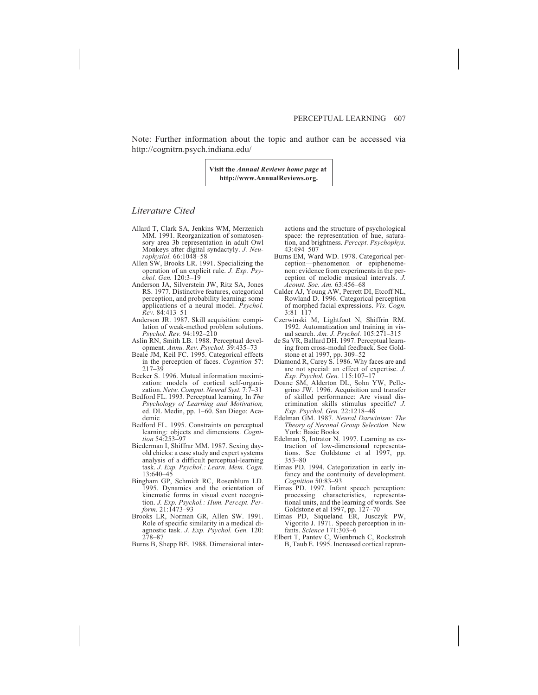Note: Further information about the topic and author can be accessed via http://cognitrn.psych.indiana.edu/

> **Visit the** *Annual Reviews home page* **at http://www.AnnualReviews.org.**

#### *Literature Cited*

- Allard T, Clark SA, Jenkins WM, Merzenich MM. 1991. Reorganization of somatosensory area 3b representation in adult Owl Monkeys after digital syndactyly. *J. Neurophysiol.* 66:1048–58
- Allen SW, Brooks LR. 1991. Specializing the operation of an explicit rule. *J. Exp. Psychol. Gen.* 120:3–19
- Anderson JA, Silverstein JW, Ritz SA, Jones RS. 1977. Distinctive features, categorical perception, and probability learning: some applications of a neural model. *Psychol. Rev.* 84:413–51
- Anderson JR. 1987. Skill acquisition: compilation of weak-method problem solutions. *Psychol. Rev.* 94:192–210
- Aslin RN, Smith LB. 1988. Perceptual development. *Annu. Rev. Psychol.* 39:435–73
- Beale JM, Keil FC. 1995. Categorical effects in the perception of faces. *Cognition* 57: 217–39
- Becker S. 1996. Mutual information maximization: models of cortical self-organization. *Netw. Comput. Neural Syst.* 7:7–31
- Bedford FL. 1993. Perceptual learning. In *The Psychology of Learning and Motivation,* ed. DL Medin, pp. 1–60. San Diego: Academic
- Bedford FL. 1995. Constraints on perceptual learning: objects and dimensions. *Cognition* 54:253–97
- Biederman I, Shiffrar MM. 1987. Sexing dayold chicks: a case study and expert systems analysis of a difficult perceptual-learning task. *J. Exp. Psychol.: Learn. Mem. Cogn.* 13:640–45
- Bingham GP, Schmidt RC, Rosenblum LD. 1995. Dynamics and the orientation of kinematic forms in visual event recognition. *J. Exp. Psychol.: Hum. Percept. Perform.* 21:1473–93
- Brooks LR, Norman GR, Allen SW. 1991. Role of specific similarity in a medical diagnostic task. *J. Exp. Psychol. Gen.* 120: 278–87
- Burns B, Shepp BE. 1988. Dimensional inter-

actions and the structure of psychological space: the representation of hue, saturation, and brightness. *Percept. Psychophys.* 43:494–507

- Burns EM, Ward WD. 1978. Categorical perception—phenomenon or epiphenomenon: evidence from experiments in the perception of melodic musical intervals. *J. Acoust. Soc. Am.* 63:456–68
- Calder AJ, Young AW, Perrett DI, Etcoff NL, Rowland D. 1996. Categorical perception of morphed facial expressions. *Vis. Cogn.* 3:81–117
- Czerwinski M, Lightfoot N, Shiffrin RM. 1992. Automatization and training in visual search. *Am. J. Psychol.* 105:271–315
- de Sa VR, Ballard DH. 1997. Perceptual learning from cross-modal feedback. See Goldstone et al 1997, pp. 309–52
- Diamond R, Carey S. 1986. Why faces are and are not special: an effect of expertise. *J. Exp. Psychol. Gen.* 115:107–17
- Doane SM, Alderton DL, Sohn YW, Pellegrino JW. 1996. Acquisition and transfer of skilled performance: Are visual discrimination skills stimulus specific? *J. Exp. Psychol. Gen.* 22:1218–48
- Edelman GM. 1987. *Neural Darwinism: The Theory of Neronal Group Selection.* New York: Basic Books
- Edelman S, Intrator N. 1997. Learning as extraction of low-dimensional representations. See Goldstone et al 1997, pp. 353–80
- Eimas PD. 1994. Categorization in early infancy and the continuity of development. *Cognition* 50:83–93
- Eimas PD. 1997. Infant speech perception: processing characteristics, representational units, and the learning of words. See Goldstone et al 1997, pp. 127–70
- Eimas PD, Siqueland ER, Jusczyk PW, Vigorito J. 1971. Speech perception in infants. *Science* 171:303–6
- Elbert T, Pantev C, Wienbruch C, Rockstroh B, Taub E. 1995. Increased cortical repren-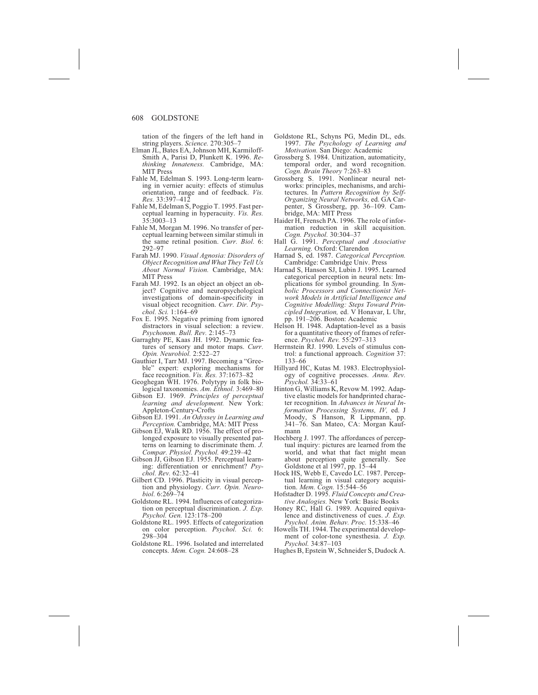tation of the fingers of the left hand in string players. *Science.* 270:305–7

- Elman JL, Bates EA, Johnson MH, Karmiloff-Smith A, Parisi D, Plunkett K. 1996. *Rethinking Innateness.* Cambridge, MA: MIT Press
- Fahle M, Edelman S. 1993. Long-term learning in vernier acuity: effects of stimulus orientation, range and of feedback. *Vis. Res.* 33:397–412
- Fahle M, Edelman S, Poggio T. 1995. Fast perceptual learning in hyperacuity. *Vis. Res.* 35:3003–13
- Fahle M, Morgan M. 1996. No transfer of perceptual learning between similar stimuli in the same retinal position. *Curr. Biol.* 6: 292–97
- Farah MJ. 1990. *Visual Agnosia: Disorders of Object Recognition and What They Tell Us About Normal Vision.* Cambridge, MA: MIT Press
- Farah MJ. 1992. Is an object an object an object? Cognitive and neuropsychological investigations of domain-specificity in visual object recognition. *Curr. Dir. Psychol. Sci.* 1:164–69
- Fox E. 1995. Negative priming from ignored distractors in visual selection: a review. *Psychonom. Bull. Rev.* 2:145–73
- Garraghty PE, Kaas JH. 1992. Dynamic features of sensory and motor maps. *Curr. Opin. Neurobiol.* 2:522–27
- Gauthier I, Tarr MJ. 1997. Becoming a "Greeble" expert: exploring mechanisms for face recognition. *Vis. Res.* 37:1673–82
- Geoghegan WH. 1976. Polytypy in folk biological taxonomies. *Am. Ethnol.* 3:469–80
- Gibson EJ. 1969. *Principles of perceptual learning and development.* New York: Appleton-Century-Crofts
- Gibson EJ. 1991. *An Odyssey in Learning and Perception.* Cambridge, MA: MIT Press
- Gibson EJ, Walk RD. 1956. The effect of prolonged exposure to visually presented patterns on learning to discriminate them. *J. Compar. Physiol. Psychol.* 49:239–42
- Gibson JJ, Gibson EJ. 1955. Perceptual learning: differentiation or enrichment? *Psychol. Rev.* 62:32–41
- Gilbert CD. 1996. Plasticity in visual perception and physiology. *Curr. Opin. Neurobiol.* 6:269–74
- Goldstone RL. 1994. Influences of categorization on perceptual discrimination. *J. Exp. Psychol. Gen.* 123:178–200
- Goldstone RL. 1995. Effects of categorization on color perception. *Psychol. Sci.* 6: 298–304
- Goldstone RL. 1996. Isolated and interrelated concepts. *Mem. Cogn.* 24:608–28
- Goldstone RL, Schyns PG, Medin DL, eds. 1997. *The Psychology of Learning and Motivation.* San Diego: Academic
- Grossberg S. 1984. Unitization, automaticity, temporal order, and word recognition. *Cogn. Brain Theory* 7:263–83
- Grossberg S. 1991. Nonlinear neural networks: principles, mechanisms, and architectures. In *Pattern Recognition by Self-Organizing Neural Networks,* ed. GA Carpenter, S Grossberg, pp. 36–109. Cambridge, MA: MIT Press
- Haider H, Frensch PA. 1996. The role of information reduction in skill acquisition. *Cogn. Psychol.* 30:304–37
- Hall G. 1991. *Perceptual and Associative Learning.* Oxford: Clarendon
- Harnad S, ed. 1987. *Categorical Perception.* Cambridge: Cambridge Univ. Press
- Harnad S, Hanson SJ, Lubin J. 1995. Learned categorical perception in neural nets: Implications for symbol grounding. In *Symbolic Processors and Connectionist Network Models in Artificial Intelligence and Cognitive Modelling: Steps Toward Principled Integration,* ed. V Honavar, L Uhr, pp. 191–206. Boston: Academic
- Helson H. 1948. Adaptation-level as a basis for a quantitative theory of frames of reference. *Psychol. Rev.* 55:297–313
- Herrnstein RJ. 1990. Levels of stimulus control: a functional approach. *Cognition* 37: 133–66
- Hillyard HC, Kutas M. 1983. Electrophysiology of cognitive processes. *Annu. Rev. Psychol.* 34:33–61
- Hinton G, Williams K, Revow M. 1992. Adaptive elastic models for handprinted character recognition. In *Advances in Neural Information Processing Systems, IV,* ed. J Moody, S Hanson, R Lippmann, pp. 341–76. San Mateo, CA: Morgan Kaufmann
- Hochberg J. 1997. The affordances of perceptual inquiry: pictures are learned from the world, and what that fact might mean about perception quite generally. See Goldstone et al 1997, pp. 15–44
- Hock HS, Webb E, Cavedo LC. 1987. Perceptual learning in visual category acquisition. *Mem. Cogn.* 15:544–56
- Hofstadter D. 1995. *Fluid Concepts and Creative Analogies.* New York: Basic Books
- Honey RC, Hall G. 1989. Acquired equivalence and distinctiveness of cues. *J. Exp. Psychol. Anim. Behav. Proc.* 15:338–46
- Howells TH. 1944. The experimental development of color-tone synesthesia. *J. Exp. Psychol.* 34:87–103
- Hughes B, Epstein W, Schneider S, Dudock A.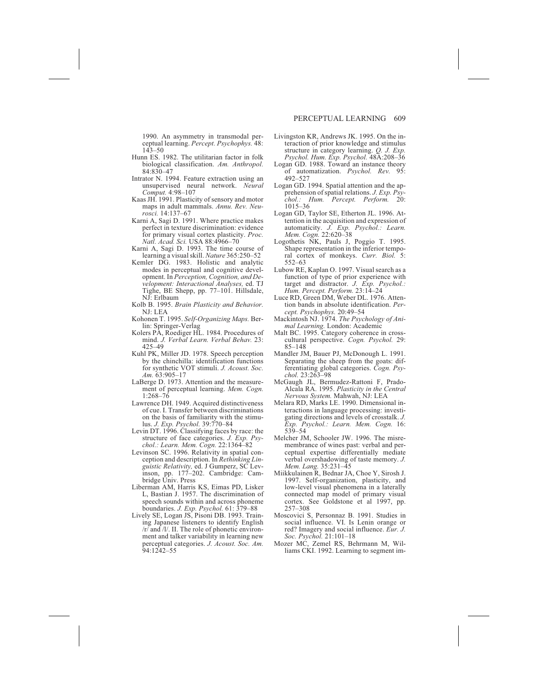1990. An asymmetry in transmodal perceptual learning. *Percept. Psychophys.* 48: 143–50

- Hunn ES. 1982. The utilitarian factor in folk biological classification. *Am. Anthropol.* 84:830–47
- Intrator N. 1994. Feature extraction using an unsupervised neural network. *Neural Comput.* 4:98–107
- Kaas JH. 1991. Plasticity of sensory and motor maps in adult mammals. *Annu. Rev. Neurosci.* 14:137–67
- Karni A, Sagi D. 1991. Where practice makes perfect in texture discrimination: evidence for primary visual cortex plasticity. *Proc. Natl. Acad. Sci.* USA 88:4966–70
- Karni A, Sagi D. 1993. The time course of learning a visual skill. *Nature* 365:250–52
- Kemler DG. 1983. Holistic and analytic modes in perceptual and cognitive development. In *Perception, Cognition, and Development: Interactional Analyses,* ed. TJ Tighe, BE Shepp, pp. 77–101. Hillsdale, NJ: Erlbaum
- Kolb B. 1995. *Brain Plasticity and Behavior.* NJ: LEA
- Kohonen T. 1995. *Self-Organizing Maps.* Berlin: Springer-Verlag
- Kolers PA, Roediger HL. 1984. Procedures of mind. *J. Verbal Learn. Verbal Behav.* 23: 425–49
- Kuhl PK, Miller JD. 1978. Speech perception by the chinchilla: identification functions for synthetic VOT stimuli. *J. Acoust. Soc. Am.* 63:905–17
- LaBerge D. 1973. Attention and the measurement of perceptual learning. *Mem. Cogn.* 1:268–76
- Lawrence DH. 1949. Acquired distinctiveness of cue. I. Transfer between discriminations on the basis of familiarity with the stimulus. *J. Exp. Psychol.* 39:770–84
- Levin DT. 1996. Classifying faces by race: the structure of face categories. *J. Exp. Psychol.: Learn. Mem. Cogn.* 22:1364–82
- Levinson SC. 1996. Relativity in spatial conception and description. In *Rethinking Linguistic Relativity,* ed. J Gumperz, SC Levinson, pp. 177–202. Cambridge: Cambridge Univ. Press
- Liberman AM, Harris KS, Eimas PD, Lisker L, Bastian J. 1957. The discrimination of speech sounds within and across phoneme boundaries. *J. Exp. Psychol.* 61: 379–88
- Lively SE, Logan JS, Pisoni DB. 1993. Training Japanese listeners to identify English /r/ and /l/. II. The role of phonetic environment and talker variability in learning new perceptual categories. *J. Acoust. Soc. Am.* 94:1242–55
- Livingston KR, Andrews JK. 1995. On the interaction of prior knowledge and stimulus structure in category learning. *Q. J. Exp. Psychol. Hum. Exp. Psychol.* 48A:208–36
- Logan GD. 1988. Toward an instance theory of automatization. *Psychol. Rev.* 95: 492–527
- Logan GD. 1994. Spatial attention and the apprehension of spatial relations. *J. Exp. Psychol.: Hum. Percept. Perform.* 20: 1015–36
- Logan GD, Taylor SE, Etherton JL. 1996. Attention in the acquisition and expression of automaticity. *J. Exp. Psychol.: Learn. Mem. Cogn.* 22:620–38
- Logothetis NK, Pauls J, Poggio T. 1995. Shape representation in the inferior temporal cortex of monkeys. *Curr. Biol.* 5: 552–63
- Lubow RE, Kaplan O. 1997. Visual search as a function of type of prior experience with target and distractor. *J. Exp. Psychol.: Hum. Percept. Perform.* 23:14–24
- Luce RD, Green DM, Weber DL. 1976. Attention bands in absolute identification. *Percept. Psychophys.* 20:49–54
- Mackintosh NJ. 1974. *The Psychology of Animal Learning.* London: Academic
- Malt BC. 1995. Category coherence in crosscultural perspective. *Cogn. Psychol.* 29: 85–148
- Mandler JM, Bauer PJ, McDonough L. 1991. Separating the sheep from the goats: differentiating global categories. *Cogn. Psychol.* 23:263–98
- McGaugh JL, Bermudez-Rattoni F, Prado-Alcala RA. 1995. *Plasticity in the Central Nervous System.* Mahwah, NJ: LEA
- Melara RD, Marks LE. 1990. Dimensional interactions in language processing: investigating directions and levels of crosstalk. *J. Exp. Psychol.: Learn. Mem. Cogn.* 16: 539–54
- Melcher JM, Schooler JW. 1996. The misremembrance of wines past: verbal and perceptual expertise differentially mediate verbal overshadowing of taste memory. *J. Mem. Lang.* 35:231–45
- Miikkulainen R, Bednar JA, Choe Y, Sirosh J. 1997. Self-organization, plasticity, and low-level visual phenomena in a laterally connected map model of primary visual cortex. See Goldstone et al 1997, pp. 257–308
- Moscovici S, Personnaz B. 1991. Studies in social influence. VI. Is Lenin orange or red? Imagery and social influence. *Eur. J. Soc. Psychol.* 21:101–18
- Mozer MC, Zemel RS, Behrmann M, Williams CKI. 1992. Learning to segment im-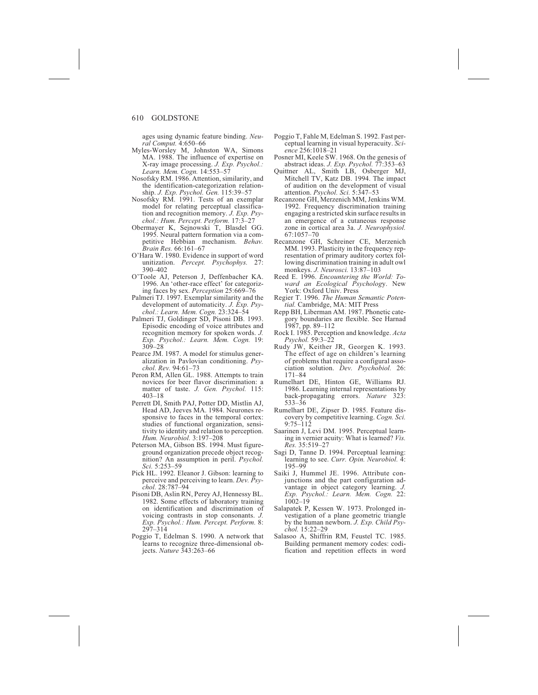ages using dynamic feature binding. *Neural Comput.* 4:650–66

- Myles-Worsley M, Johnston WA, Simons MA. 1988. The influence of expertise on X-ray image processing. *J. Exp. Psychol.: Learn. Mem. Cogn.* 14:553–57
- Nosofsky RM. 1986. Attention, similarity, and the identification-categorization relationship. *J. Exp. Psychol. Gen.* 115:39–57
- Nosofsky RM. 1991. Tests of an exemplar model for relating perceptual classification and recognition memory. *J. Exp. Psychol.: Hum. Percept. Perform.* 17:3–27
- Obermayer K, Sejnowski T, Blasdel GG. 1995. Neural pattern formation via a competitive Hebbian mechanism. *Behav. Brain Res.* 66:161–67
- O'Hara W. 1980. Evidence in support of word unitization. *Percept. Psychophys.* 27: 390–402
- O'Toole AJ, Peterson J, Deffenbacher KA. 1996. An 'other-race effect' for categorizing faces by sex. *Perception* 25:669–76
- Palmeri TJ. 1997. Exemplar similarity and the development of automaticity. *J. Exp. Psychol.: Learn. Mem. Cogn.* 23:324–54
- Palmeri TJ, Goldinger SD, Pisoni DB. 1993. Episodic encoding of voice attributes and recognition memory for spoken words. *J. Exp. Psychol.: Learn. Mem. Cogn.* 19: 309–28
- Pearce JM. 1987. A model for stimulus generalization in Pavlovian conditioning. *Psychol. Rev.* 94:61–73
- Peron RM, Allen GL. 1988. Attempts to train novices for beer flavor discrimination: a matter of taste. *J. Gen. Psychol.* 115: 403–18
- Perrett DI, Smith PAJ, Potter DD, Mistlin AJ, Head AD, Jeeves MA. 1984. Neurones responsive to faces in the temporal cortex: studies of functional organization, sensitivity to identity and relation to perception. *Hum. Neurobiol.* 3:197–208
- Peterson MA, Gibson BS. 1994. Must figureground organization precede object recognition? An assumption in peril. *Psychol. Sci.* 5:253–59
- Pick HL. 1992. Eleanor J. Gibson: learning to perceive and perceiving to learn. *Dev. Psychol.* 28:787–94
- Pisoni DB, Aslin RN, Perey AJ, Hennessy BL. 1982. Some effects of laboratory training on identification and discrimination of voicing contrasts in stop consonants. *J. Exp. Psychol.: Hum. Percept. Perform.* 8: 297–314
- Poggio T, Edelman S. 1990. A network that learns to recognize three-dimensional objects. *Nature* 343:263–66
- Poggio T, Fahle M, Edelman S. 1992. Fast perceptual learning in visual hyperacuity. *Science* 256:1018–21
- Posner MI, Keele SW. 1968. On the genesis of abstract ideas. *J. Exp. Psychol.* 77:353–63
- Quittner AL, Smith LB, Osberger MJ, Mitchell TV, Katz DB. 1994. The impact of audition on the development of visual attention. *Psychol. Sci.* 5:347–53
- Recanzone GH, Merzenich MM, Jenkins WM. 1992. Frequency discrimination training engaging a restricted skin surface results in an emergence of a cutaneous response zone in cortical area 3a. *J. Neurophysiol.* 67:1057–70
- Recanzone GH, Schreiner CE, Merzenich MM. 1993. Plasticity in the frequency representation of primary auditory cortex following discrimination training in adult owl monkeys. *J. Neurosci.* 13:87–103
- Reed E. 1996. *Encountering the World: Toward an Ecological Psycholog*y. New York: Oxford Univ. Press
- Regier T. 1996. *The Human Semantic Potential.* Cambridge, MA: MIT Press
- Repp BH, Liberman AM. 1987. Phonetic category boundaries are flexible. See Harnad
- 1987, pp. 89–112 Rock I. 1985. Perception and knowledge. *Acta Psychol.* 59:3–22
- Rudy JW, Keither JR, Georgen K. 1993. The effect of age on children's learning of problems that require a configural association solution. *Dev. Psychobiol.* 26: 171–84
- Rumelhart DE, Hinton GE, Williams RJ. 1986. Learning internal representations by back-propagating errors. *Nature* 323: 533–36
- Rumelhart DE, Zipser D. 1985. Feature discovery by competitive learning. *Cogn. Sci.* 9:75–112
- Saarinen J, Levi DM. 1995. Perceptual learning in vernier acuity: What is learned? *Vis. Res.* 35:519–27
- Sagi D, Tanne D. 1994. Perceptual learning: learning to see. *Curr. Opin. Neurobiol.* 4: 195–99
- Saiki J, Hummel JE. 1996. Attribute conjunctions and the part configuration advantage in object category learning. *J. Exp. Psychol.: Learn. Mem. Cogn.* 22:  $1002 - 19$
- Salapatek P, Kessen W. 1973. Prolonged investigation of a plane geometric triangle by the human newborn. *J. Exp. Child Psychol.* 15:22–29
- Salasoo A, Shiffrin RM, Feustel TC. 1985. Building permanent memory codes: codification and repetition effects in word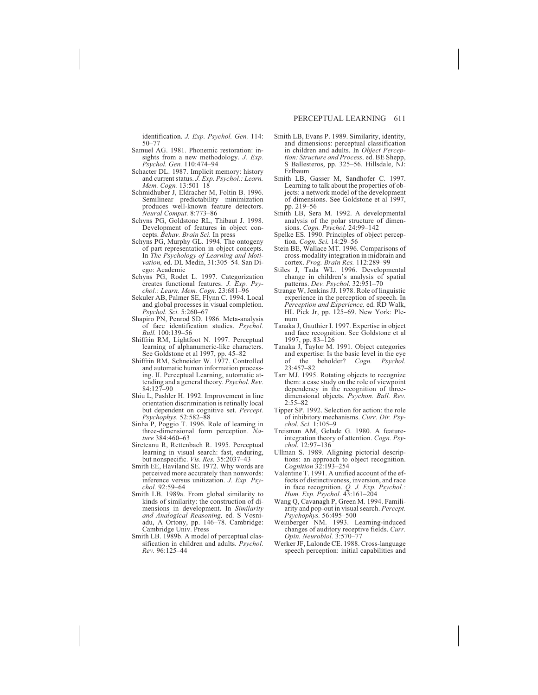identification. *J. Exp. Psychol. Gen.* 114: 50–77

- Samuel AG. 1981. Phonemic restoration: insights from a new methodology. *J. Exp. Psychol. Gen.* 110:474–94
- Schacter DL. 1987. Implicit memory: history and current status. *J. Exp. Psychol.: Learn. Mem. Cogn.* 13:501–18
- Schmidhuber J, Eldracher M, Foltin B. 1996. Semilinear predictability minimization produces well-known feature detectors. *Neural Comput.* 8:773–86
- Schyns PG, Goldstone RL, Thibaut J. 1998. Development of features in object concepts. *Behav. Brain Sci.* In press
- Schyns PG, Murphy GL. 1994. The ontogeny of part representation in object concepts. In *The Psychology of Learning and Motivation,* ed. DL Medin, 31:305–54. San Diego: Academic
- Schyns PG, Rodet L. 1997. Categorization creates functional features. *J. Exp. Psychol.: Learn. Mem. Cogn.* 23:681–96
- Sekuler AB, Palmer SE, Flynn C. 1994. Local and global processes in visual completion. *Psychol. Sci.* 5:260–67
- Shapiro PN, Penrod SD. 1986. Meta-analysis of face identification studies. *Psychol. Bull.* 100:139–56
- Shiffrin RM, Lightfoot N. 1997. Perceptual learning of alphanumeric-like characters. See Goldstone et al 1997, pp. 45–82
- Shiffrin RM, Schneider W. 1977. Controlled and automatic human information processing. II. Perceptual Learning, automatic attending and a general theory. *Psychol. Rev.* 84:127–90
- Shiu L, Pashler H. 1992. Improvement in line orientation discrimination is retinally local but dependent on cognitive set. *Percept. Psychophys.* 52:582–88
- Sinha P, Poggio T. 1996. Role of learning in three-dimensional form perception. *Nature* 384:460–63
- Sireteanu R, Rettenbach R. 1995. Perceptual learning in visual search: fast, enduring, but nonspecific. *Vis. Res.* 35:2037–43
- Smith EE, Haviland SE. 1972. Why words are perceived more accurately than nonwords: inference versus unitization. *J. Exp. Psychol.* 92:59–64
- Smith LB. 1989a. From global similarity to kinds of similarity: the construction of dimensions in development. In *Similarity and Analogical Reasoning,* ed. S Vosniadu, A Ortony, pp. 146–78. Cambridge: Cambridge Univ. Press
- Smith LB. 1989b. A model of perceptual classification in children and adults. *Psychol. Rev.* 96:125–44
- Smith LB, Evans P. 1989. Similarity, identity, and dimensions: perceptual classification in children and adults. In *Object Perception: Structure and Process,* ed. BE Shepp, S Ballesteros, pp. 325–56. Hillsdale, NJ: Erlbaum
- Smith LB, Gasser M, Sandhofer C. 1997. Learning to talk about the properties of objects: a network model of the development of dimensions. See Goldstone et al 1997, pp. 219–56
- Smith LB, Sera M. 1992. A developmental analysis of the polar structure of dimensions. *Cogn. Psychol.* 24:99–142
- Spelke ES. 1990. Principles of object perception. *Cogn. Sci.* 14:29–56
- Stein BE, Wallace MT. 1996. Comparisons of cross-modality integration in midbrain and cortex. *Prog. Brain Res.* 112:289–99
- Stiles J, Tada WL. 1996. Developmental change in children's analysis of spatial patterns. *Dev. Psychol.* 32:951-70
- Strange W, Jenkins JJ. 1978. Role of linguistic experience in the perception of speech. In *Perception and Experience,* ed. RD Walk, HL Pick Jr, pp. 125–69. New York: Plenum
- Tanaka J, Gauthier I. 1997. Expertise in object and face recognition. See Goldstone et al 1997, pp. 83–126
- Tanaka J, Taylor M. 1991. Object categories and expertise: Is the basic level in the eye of the beholder? *Cogn. Psychol.* 23:457–82
- Tarr MJ. 1995. Rotating objects to recognize them: a case study on the role of viewpoint dependency in the recognition of threedimensional objects. *Psychon. Bull. Rev.*  $2:55 - 82$
- Tipper SP. 1992. Selection for action: the role of inhibitory mechanisms. *Curr. Dir. Psychol. Sci.* 1:105–9
- Treisman AM, Gelade G. 1980. A featureintegration theory of attention. *Cogn. Psychol.* 12:97–136
- Ullman S. 1989. Aligning pictorial descriptions: an approach to object recognition. *Cognition* 32:193–254
- Valentine T. 1991. A unified account of the effects of distinctiveness, inversion, and race in face recognition. *Q. J. Exp. Psychol.: Hum. Exp. Psychol.* 43:161–204
- Wang Q, Cavanagh P, Green M. 1994. Familiarity and pop-out in visual search. *Percept. Psychophys.* 56:495–500
- Weinberger NM. 1993. Learning-induced changes of auditory receptive fields. *Curr. Opin. Neurobiol.* 3:570–77
- Werker JF, Lalonde CE. 1988. Cross-language speech perception: initial capabilities and